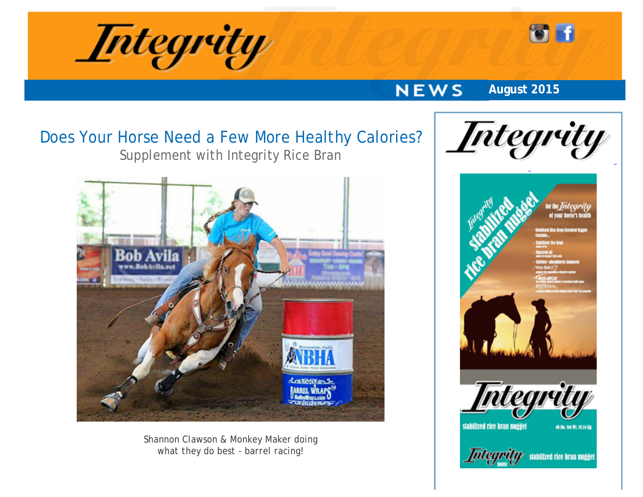



## **NEWS August 2015**

## Does Your Horse Need a Few More Healthy Calories? Supplement with Integrity Rice Bran



*Shannon Clawson & Monkey Maker doing what they do best – barrel racing!*

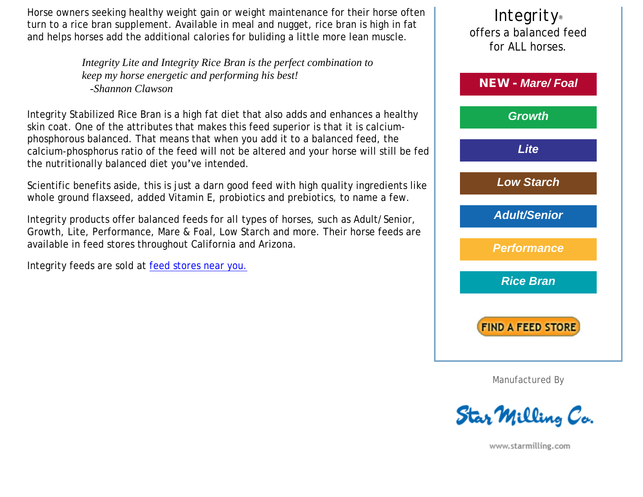Horse owners seeking healthy weight gain or weight maintenance for their horse often turn to a rice bran supplement. Available in meal and nugget, rice bran is high in fat and helps horses add the additional calories for buliding a little more lean muscle.

> *Integrity Lite and Integrity Rice Bran is the perfect combination to keep my horse energetic and performing his best! -Shannon Clawson*

Integrity Stabilized Rice Bran is a high fat diet that also adds and enhances a healthy skin coat. One of the attributes that makes this feed superior is that it is calciumphosphorous balanced. That means that when you add it to a balanced feed, the calcium-phosphorus ratio of the feed will not be altered and your horse will still be fed the nutritionally balanced diet you've intended.

Scientific benefits aside, this is just a darn good feed with high quality ingredients like whole ground flaxseed, added Vitamin E, probiotics and prebiotics, to name a few.

Integrity products offer balanced feeds for *all* types of horses, such as Adult/Senior, Growth, Lite, Performance, Mare & Foal, Low Starch and more. Their horse feeds are available in feed stores throughout California and Arizona.

Integrity feeds are sold at [feed stores near you.](http://www.starmilling.com/dealer.php)



Manufactured By



www.starmilling.com